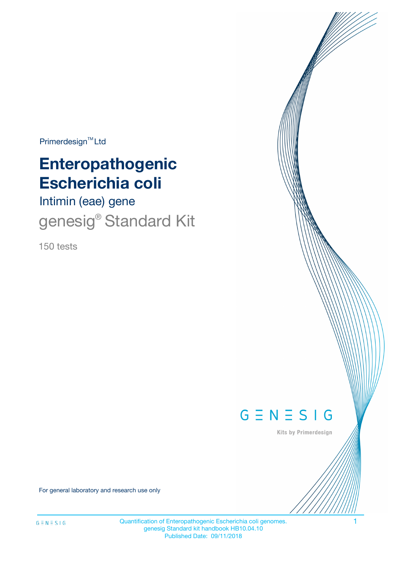Primerdesign<sup>™</sup>Ltd

# **Enteropathogenic Escherichia coli**

Intimin (eae) gene genesig<sup>®</sup> Standard Kit

150 tests



Kits by Primerdesign

For general laboratory and research use only

Quantification of Enteropathogenic Escherichia coli genomes. 1 genesig Standard kit handbook HB10.04.10 Published Date: 09/11/2018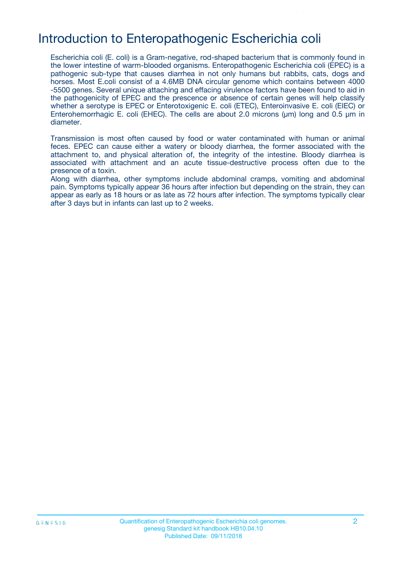# Introduction to Enteropathogenic Escherichia coli

Escherichia coli (E. coli) is a Gram-negative, rod-shaped bacterium that is commonly found in the lower intestine of warm-blooded organisms. Enteropathogenic Escherichia coli (EPEC) is a pathogenic sub-type that causes diarrhea in not only humans but rabbits, cats, dogs and horses. Most E.coli consist of a 4.6MB DNA circular genome which contains between 4000 -5500 genes. Several unique attaching and effacing virulence factors have been found to aid in the pathogenicity of EPEC and the prescence or absence of certain genes will help classify whether a serotype is EPEC or Enterotoxigenic E. coli (ETEC), Enteroinvasive E. coli (EIEC) or Enterohemorrhagic E. coli (EHEC). The cells are about 2.0 microns (μm) long and 0.5 μm in diameter.

Transmission is most often caused by food or water contaminated with human or animal feces. EPEC can cause either a watery or bloody diarrhea, the former associated with the attachment to, and physical alteration of, the integrity of the intestine. Bloody diarrhea is associated with attachment and an acute tissue-destructive process often due to the presence of a toxin.

Along with diarrhea, other symptoms include abdominal cramps, vomiting and abdominal pain. Symptoms typically appear 36 hours after infection but depending on the strain, they can appear as early as 18 hours or as late as 72 hours after infection. The symptoms typically clear after 3 days but in infants can last up to 2 weeks.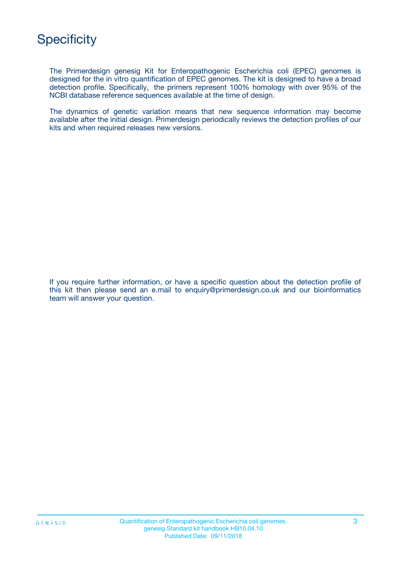The Primerdesign genesig Kit for Enteropathogenic Escherichia coli (EPEC) genomes is designed for the in vitro quantification of EPEC genomes. The kit is designed to have a broad detection profile. Specifically, the primers represent 100% homology with over 95% of the NCBI database reference sequences available at the time of design.

The dynamics of genetic variation means that new sequence information may become available after the initial design. Primerdesign periodically reviews the detection profiles of our kits and when required releases new versions.

If you require further information, or have a specific question about the detection profile of this kit then please send an e.mail to enquiry@primerdesign.co.uk and our bioinformatics team will answer your question.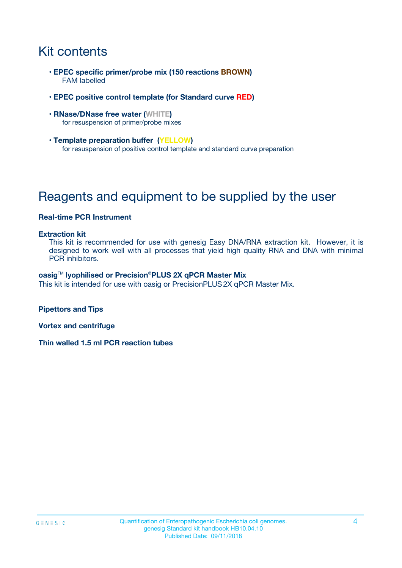# Kit contents

- **EPEC specific primer/probe mix (150 reactions BROWN)** FAM labelled
- **EPEC positive control template (for Standard curve RED)**
- **RNase/DNase free water (WHITE)** for resuspension of primer/probe mixes
- **Template preparation buffer (YELLOW)** for resuspension of positive control template and standard curve preparation

# Reagents and equipment to be supplied by the user

#### **Real-time PCR Instrument**

#### **Extraction kit**

This kit is recommended for use with genesig Easy DNA/RNA extraction kit. However, it is designed to work well with all processes that yield high quality RNA and DNA with minimal PCR inhibitors.

#### **oasig**TM **lyophilised or Precision**®**PLUS 2X qPCR Master Mix**

This kit is intended for use with oasig or PrecisionPLUS2X qPCR Master Mix.

**Pipettors and Tips**

**Vortex and centrifuge**

**Thin walled 1.5 ml PCR reaction tubes**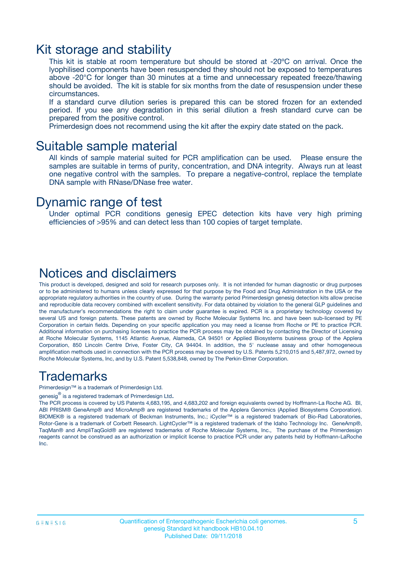### Kit storage and stability

This kit is stable at room temperature but should be stored at -20ºC on arrival. Once the lyophilised components have been resuspended they should not be exposed to temperatures above -20°C for longer than 30 minutes at a time and unnecessary repeated freeze/thawing should be avoided. The kit is stable for six months from the date of resuspension under these circumstances.

If a standard curve dilution series is prepared this can be stored frozen for an extended period. If you see any degradation in this serial dilution a fresh standard curve can be prepared from the positive control.

Primerdesign does not recommend using the kit after the expiry date stated on the pack.

### Suitable sample material

All kinds of sample material suited for PCR amplification can be used. Please ensure the samples are suitable in terms of purity, concentration, and DNA integrity. Always run at least one negative control with the samples. To prepare a negative-control, replace the template DNA sample with RNase/DNase free water.

### Dynamic range of test

Under optimal PCR conditions genesig EPEC detection kits have very high priming efficiencies of >95% and can detect less than 100 copies of target template.

### Notices and disclaimers

This product is developed, designed and sold for research purposes only. It is not intended for human diagnostic or drug purposes or to be administered to humans unless clearly expressed for that purpose by the Food and Drug Administration in the USA or the appropriate regulatory authorities in the country of use. During the warranty period Primerdesign genesig detection kits allow precise and reproducible data recovery combined with excellent sensitivity. For data obtained by violation to the general GLP guidelines and the manufacturer's recommendations the right to claim under guarantee is expired. PCR is a proprietary technology covered by several US and foreign patents. These patents are owned by Roche Molecular Systems Inc. and have been sub-licensed by PE Corporation in certain fields. Depending on your specific application you may need a license from Roche or PE to practice PCR. Additional information on purchasing licenses to practice the PCR process may be obtained by contacting the Director of Licensing at Roche Molecular Systems, 1145 Atlantic Avenue, Alameda, CA 94501 or Applied Biosystems business group of the Applera Corporation, 850 Lincoln Centre Drive, Foster City, CA 94404. In addition, the 5' nuclease assay and other homogeneous amplification methods used in connection with the PCR process may be covered by U.S. Patents 5,210,015 and 5,487,972, owned by Roche Molecular Systems, Inc, and by U.S. Patent 5,538,848, owned by The Perkin-Elmer Corporation.

### Trademarks

Primerdesign™ is a trademark of Primerdesign Ltd.

genesig $^\circledR$  is a registered trademark of Primerdesign Ltd.

The PCR process is covered by US Patents 4,683,195, and 4,683,202 and foreign equivalents owned by Hoffmann-La Roche AG. BI, ABI PRISM® GeneAmp® and MicroAmp® are registered trademarks of the Applera Genomics (Applied Biosystems Corporation). BIOMEK® is a registered trademark of Beckman Instruments, Inc.; iCycler™ is a registered trademark of Bio-Rad Laboratories, Rotor-Gene is a trademark of Corbett Research. LightCycler™ is a registered trademark of the Idaho Technology Inc. GeneAmp®, TaqMan® and AmpliTaqGold® are registered trademarks of Roche Molecular Systems, Inc., The purchase of the Primerdesign reagents cannot be construed as an authorization or implicit license to practice PCR under any patents held by Hoffmann-LaRoche Inc.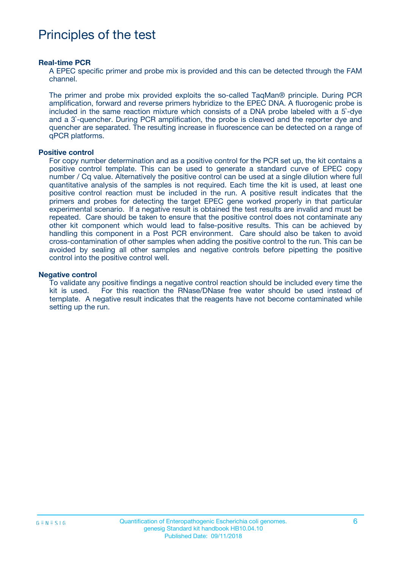# Principles of the test

#### **Real-time PCR**

A EPEC specific primer and probe mix is provided and this can be detected through the FAM channel.

The primer and probe mix provided exploits the so-called TaqMan® principle. During PCR amplification, forward and reverse primers hybridize to the EPEC DNA. A fluorogenic probe is included in the same reaction mixture which consists of a DNA probe labeled with a 5`-dye and a 3`-quencher. During PCR amplification, the probe is cleaved and the reporter dye and quencher are separated. The resulting increase in fluorescence can be detected on a range of qPCR platforms.

#### **Positive control**

For copy number determination and as a positive control for the PCR set up, the kit contains a positive control template. This can be used to generate a standard curve of EPEC copy number / Cq value. Alternatively the positive control can be used at a single dilution where full quantitative analysis of the samples is not required. Each time the kit is used, at least one positive control reaction must be included in the run. A positive result indicates that the primers and probes for detecting the target EPEC gene worked properly in that particular experimental scenario. If a negative result is obtained the test results are invalid and must be repeated. Care should be taken to ensure that the positive control does not contaminate any other kit component which would lead to false-positive results. This can be achieved by handling this component in a Post PCR environment. Care should also be taken to avoid cross-contamination of other samples when adding the positive control to the run. This can be avoided by sealing all other samples and negative controls before pipetting the positive control into the positive control well.

#### **Negative control**

To validate any positive findings a negative control reaction should be included every time the kit is used. For this reaction the RNase/DNase free water should be used instead of template. A negative result indicates that the reagents have not become contaminated while setting up the run.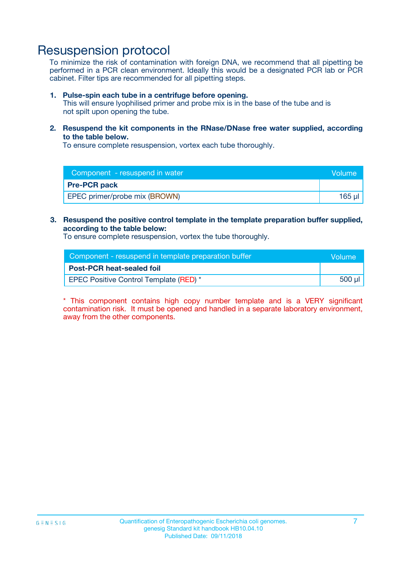### Resuspension protocol

To minimize the risk of contamination with foreign DNA, we recommend that all pipetting be performed in a PCR clean environment. Ideally this would be a designated PCR lab or PCR cabinet. Filter tips are recommended for all pipetting steps.

#### **1. Pulse-spin each tube in a centrifuge before opening.**

This will ensure lyophilised primer and probe mix is in the base of the tube and is not spilt upon opening the tube.

**2. Resuspend the kit components in the RNase/DNase free water supplied, according to the table below.**

To ensure complete resuspension, vortex each tube thoroughly.

| Component - resuspend in water | <b>Volume</b> |
|--------------------------------|---------------|
| <b>Pre-PCR pack</b>            |               |
| EPEC primer/probe mix (BROWN)  | 165 ul        |

### **3. Resuspend the positive control template in the template preparation buffer supplied, according to the table below:**

To ensure complete resuspension, vortex the tube thoroughly.

| Component - resuspend in template preparation buffer | lVolume' |
|------------------------------------------------------|----------|
| <b>Post-PCR heat-sealed foil</b>                     |          |
| <b>EPEC Positive Control Template (RED)</b> *        | 500 µl   |

\* This component contains high copy number template and is a VERY significant contamination risk. It must be opened and handled in a separate laboratory environment, away from the other components.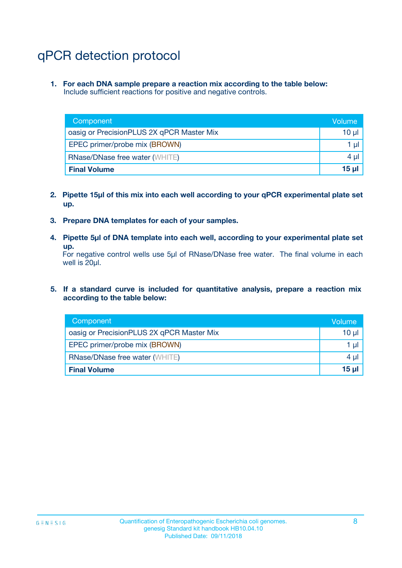# qPCR detection protocol

**1. For each DNA sample prepare a reaction mix according to the table below:** Include sufficient reactions for positive and negative controls.

| Component                                 | Volume     |
|-------------------------------------------|------------|
| oasig or PrecisionPLUS 2X qPCR Master Mix | 10 $\mu$   |
| EPEC primer/probe mix (BROWN)             | 1 $\mu$    |
| <b>RNase/DNase free water (WHITE)</b>     | $4 \mu$    |
| <b>Final Volume</b>                       | $15$ $\mu$ |

- **2. Pipette 15µl of this mix into each well according to your qPCR experimental plate set up.**
- **3. Prepare DNA templates for each of your samples.**
- **4. Pipette 5µl of DNA template into each well, according to your experimental plate set up.**

For negative control wells use 5µl of RNase/DNase free water. The final volume in each well is 20µl.

**5. If a standard curve is included for quantitative analysis, prepare a reaction mix according to the table below:**

| Component                                 | Volume     |
|-------------------------------------------|------------|
| oasig or PrecisionPLUS 2X qPCR Master Mix | $10 \mu$   |
| EPEC primer/probe mix (BROWN)             | 1 µI       |
| <b>RNase/DNase free water (WHITE)</b>     | $4 \mu$    |
| <b>Final Volume</b>                       | $15$ $\mu$ |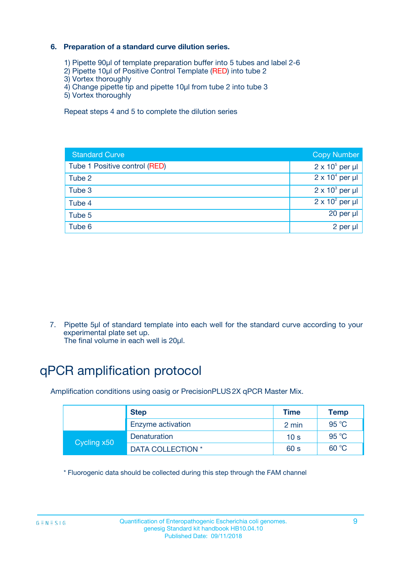### **6. Preparation of a standard curve dilution series.**

- 1) Pipette 90µl of template preparation buffer into 5 tubes and label 2-6
- 2) Pipette 10µl of Positive Control Template (RED) into tube 2
- 3) Vortex thoroughly
- 4) Change pipette tip and pipette 10µl from tube 2 into tube 3
- 5) Vortex thoroughly

Repeat steps 4 and 5 to complete the dilution series

| <b>Standard Curve</b>         | <b>Copy Number</b>     |
|-------------------------------|------------------------|
| Tube 1 Positive control (RED) | $2 \times 10^5$ per µl |
| Tube 2                        | $2 \times 10^4$ per µl |
| Tube 3                        | $2 \times 10^3$ per µl |
| Tube 4                        | $2 \times 10^2$ per µl |
| Tube 5                        | 20 per µl              |
| Tube 6                        | $2$ per $\mu$          |

7. Pipette 5µl of standard template into each well for the standard curve according to your experimental plate set up.

The final volume in each well is 20µl.

# qPCR amplification protocol

Amplification conditions using oasig or PrecisionPLUS2X qPCR Master Mix.

|             | <b>Step</b>       | <b>Time</b>     | Temp    |
|-------------|-------------------|-----------------|---------|
|             | Enzyme activation | 2 min           | 95 °C   |
| Cycling x50 | Denaturation      | 10 <sub>s</sub> | 95 $°C$ |
|             | DATA COLLECTION * | 60 s            | 60 °C   |

\* Fluorogenic data should be collected during this step through the FAM channel